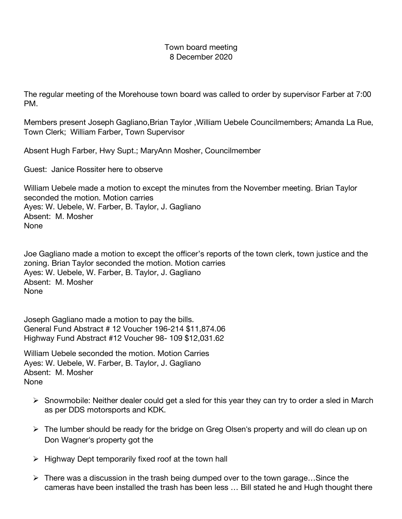## Town board meeting 8 December 2020

The regular meeting of the Morehouse town board was called to order by supervisor Farber at 7:00 PM.

Members present Joseph Gagliano,Brian Taylor ,William Uebele Councilmembers; Amanda La Rue, Town Clerk; William Farber, Town Supervisor

Absent Hugh Farber, Hwy Supt.; MaryAnn Mosher, Councilmember

Guest: Janice Rossiter here to observe

William Uebele made a motion to except the minutes from the November meeting. Brian Taylor seconded the motion. Motion carries Ayes: W. Uebele, W. Farber, B. Taylor, J. Gagliano Absent: M. Mosher None

Joe Gagliano made a motion to except the officer's reports of the town clerk, town justice and the zoning. Brian Taylor seconded the motion. Motion carries Ayes: W. Uebele, W. Farber, B. Taylor, J. Gagliano Absent: M. Mosher None

Joseph Gagliano made a motion to pay the bills. General Fund Abstract # 12 Voucher 196-214 \$11,874.06 Highway Fund Abstract #12 Voucher 98- 109 \$12,031.62

William Uebele seconded the motion. Motion Carries Ayes: W. Uebele, W. Farber, B. Taylor, J. Gagliano Absent: M. Mosher None

- $\triangleright$  Snowmobile: Neither dealer could get a sled for this year they can try to order a sled in March as per DDS motorsports and KDK.
- $\triangleright$  The lumber should be ready for the bridge on Greg Olsen's property and will do clean up on Don Wagner's property got the
- $\triangleright$  Highway Dept temporarily fixed roof at the town hall
- $\triangleright$  There was a discussion in the trash being dumped over to the town garage...Since the cameras have been installed the trash has been less … Bill stated he and Hugh thought there